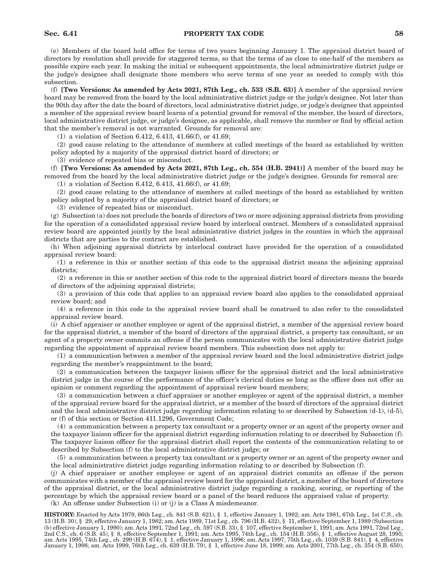# **Sec. 6.41 PROPERTY TAX CODE 58**

(e) Members of the board hold office for terms of two years beginning January 1. The appraisal district board of directors by resolution shall provide for staggered terms, so that the terms of as close to one-half of the members as possible expire each year. In making the initial or subsequent appointments, the local administrative district judge or the judge's designee shall designate those members who serve terms of one year as needed to comply with this subsection.

(f) **[Two Versions: As amended by Acts 2021, 87th Leg., ch. 533 (S.B. 63)]** A member of the appraisal review board may be removed from the board by the local administrative district judge or the judge's designee. Not later than the 90th day after the date the board of directors, local administrative district judge, or judge's designee that appointed a member of the appraisal review board learns of a potential ground for removal of the member, the board of directors, local administrative district judge, or judge's designee, as applicable, shall remove the member or find by official action that the member's removal is not warranted. Grounds for removal are:

(1) a violation of Section 6.412, 6.413, 41.66(f), or 41.69;

(2) good cause relating to the attendance of members at called meetings of the board as established by written policy adopted by a majority of the appraisal district board of directors; or

(3) evidence of repeated bias or misconduct.

(f) **[Two Versions: As amended by Acts 2021, 87th Leg., ch. 554 (H.B. 2941)]** A member of the board may be removed from the board by the local administrative district judge or the judge's designee. Grounds for removal are:

(1) a violation of Section 6.412, 6.413, 41.66(f), or 41.69;

(2) good cause relating to the attendance of members at called meetings of the board as established by written policy adopted by a majority of the appraisal district board of directors; or

(3) evidence of repeated bias or misconduct.

(g) Subsection (a) does not preclude the boards of directors of two or more adjoining appraisal districts from providing for the operation of a consolidated appraisal review board by interlocal contract. Members of a consolidated appraisal review board are appointed jointly by the local administrative district judges in the counties in which the appraisal districts that are parties to the contract are established.

(h) When adjoining appraisal districts by interlocal contract have provided for the operation of a consolidated appraisal review board:

(1) a reference in this or another section of this code to the appraisal district means the adjoining appraisal districts;

(2) a reference in this or another section of this code to the appraisal district board of directors means the boards of directors of the adjoining appraisal districts;

(3) a provision of this code that applies to an appraisal review board also applies to the consolidated appraisal review board; and

(4) a reference in this code to the appraisal review board shall be construed to also refer to the consolidated appraisal review board.

(i) A chief appraiser or another employee or agent of the appraisal district, a member of the appraisal review board for the appraisal district, a member of the board of directors of the appraisal district, a property tax consultant, or an agent of a property owner commits an offense if the person communicates with the local administrative district judge regarding the appointment of appraisal review board members. This subsection does not apply to:

(1) a communication between a member of the appraisal review board and the local administrative district judge regarding the member's reappointment to the board;

(2) a communication between the taxpayer liaison officer for the appraisal district and the local administrative district judge in the course of the performance of the officer's clerical duties so long as the officer does not offer an opinion or comment regarding the appointment of appraisal review board members;

(3) a communication between a chief appraiser or another employee or agent of the appraisal district, a member of the appraisal review board for the appraisal district, or a member of the board of directors of the appraisal district and the local administrative district judge regarding information relating to or described by Subsection (d-1), (d-5), or (f) of this section or Section 411.1296, Government Code;

(4) a communication between a property tax consultant or a property owner or an agent of the property owner and the taxpayer liaison officer for the appraisal district regarding information relating to or described by Subsection (f). The taxpayer liaison officer for the appraisal district shall report the contents of the communication relating to or described by Subsection (f) to the local administrative district judge; or

(5) a communication between a property tax consultant or a property owner or an agent of the property owner and the local administrative district judge regarding information relating to or described by Subsection (f).

(j) A chief appraiser or another employee or agent of an appraisal district commits an offense if the person communicates with a member of the appraisal review board for the appraisal district, a member of the board of directors of the appraisal district, or the local administrative district judge regarding a ranking, scoring, or reporting of the percentage by which the appraisal review board or a panel of the board reduces the appraised value of property.

(k) An offense under Subsection (i) or (j) is a Class A misdemeanor.

**HISTORY:** Enacted by Acts 1979, 66th Leg., ch. 841 (S.B. 621), § 1, effective January 1, 1982; am. Acts 1981, 67th Leg., 1st C.S., ch. 13 (H.B. 30), § 29, effective January 1, 1982; am. Acts 1989, 71st Leg., ch. 796 (H.B. 432), § 11, effective September 1, 1989 (Subsection (b) effective January 1, 1990); am. Acts 1991, 72nd Leg., ch. 597 (S.B. 33), § 107, effective September 1, 1991; am. Acts 1991, 72nd Leg., 2nd C.S., ch. 6 (S.B. 45), § 8, effective September 1, 1991; am. Acts 1995, 74th Leg., ch. 154 (H.B. 356), § 1, effective August 28, 1995;<br>am. Acts 1995, 74th Leg., ch. 299 (H.B. 674), § 1, effective January 1, 1996; am. A January 1, 1998; am. Acts 1999, 76th Leg., ch. 639 (H.B. 79), § 1, effective June 18, 1999; am. Acts 2001, 77th Leg., ch. 354 (S.B. 650),